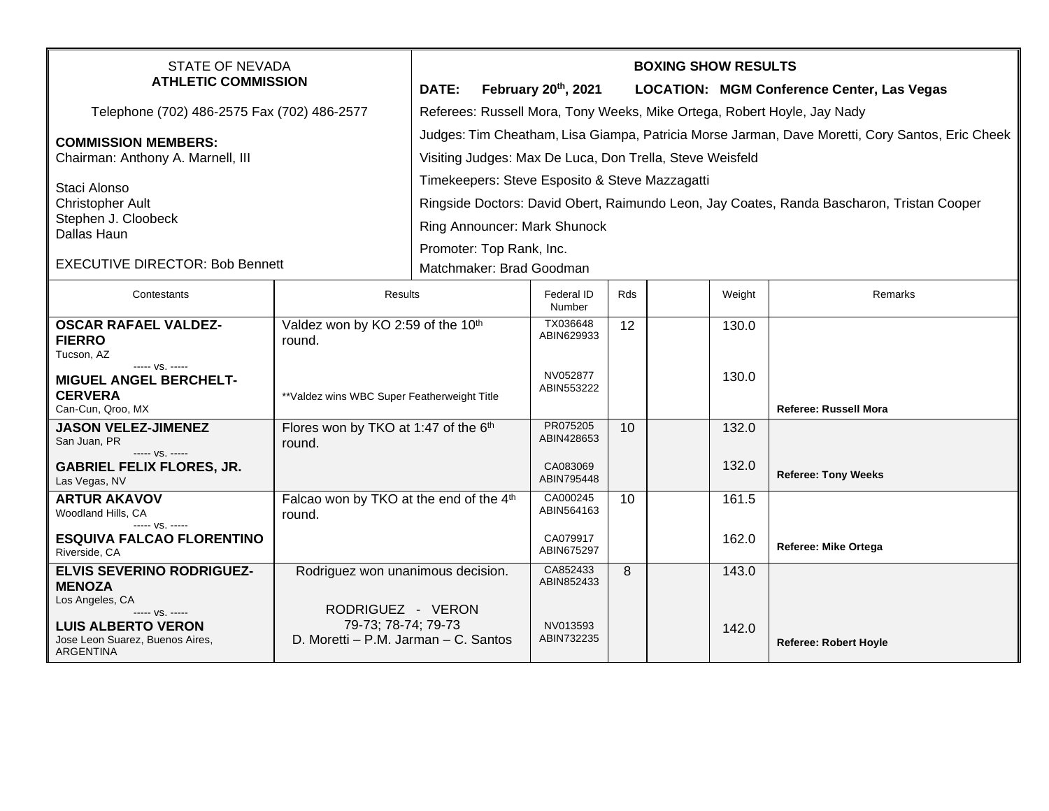| STATE OF NEVADA<br><b>ATHLETIC COMMISSION</b>                                                                          |                                                                                  | <b>BOXING SHOW RESULTS</b>                                                                      |                             |     |  |        |                                                   |  |
|------------------------------------------------------------------------------------------------------------------------|----------------------------------------------------------------------------------|-------------------------------------------------------------------------------------------------|-----------------------------|-----|--|--------|---------------------------------------------------|--|
|                                                                                                                        |                                                                                  | DATE:                                                                                           | February 20th, 2021         |     |  |        | <b>LOCATION: MGM Conference Center, Las Vegas</b> |  |
| Telephone (702) 486-2575 Fax (702) 486-2577                                                                            |                                                                                  | Referees: Russell Mora, Tony Weeks, Mike Ortega, Robert Hoyle, Jay Nady                         |                             |     |  |        |                                                   |  |
| <b>COMMISSION MEMBERS:</b>                                                                                             |                                                                                  | Judges: Tim Cheatham, Lisa Giampa, Patricia Morse Jarman, Dave Moretti, Cory Santos, Eric Cheek |                             |     |  |        |                                                   |  |
| Chairman: Anthony A. Marnell, III                                                                                      |                                                                                  | Visiting Judges: Max De Luca, Don Trella, Steve Weisfeld                                        |                             |     |  |        |                                                   |  |
| Staci Alonso<br><b>Christopher Ault</b><br>Stephen J. Cloobeck<br>Dallas Haun                                          |                                                                                  | Timekeepers: Steve Esposito & Steve Mazzagatti                                                  |                             |     |  |        |                                                   |  |
|                                                                                                                        |                                                                                  | Ringside Doctors: David Obert, Raimundo Leon, Jay Coates, Randa Bascharon, Tristan Cooper       |                             |     |  |        |                                                   |  |
|                                                                                                                        |                                                                                  | Ring Announcer: Mark Shunock                                                                    |                             |     |  |        |                                                   |  |
|                                                                                                                        |                                                                                  | Promoter: Top Rank, Inc.                                                                        |                             |     |  |        |                                                   |  |
| <b>EXECUTIVE DIRECTOR: Bob Bennett</b>                                                                                 |                                                                                  | Matchmaker: Brad Goodman                                                                        |                             |     |  |        |                                                   |  |
| Contestants                                                                                                            | Results                                                                          |                                                                                                 | <b>Federal ID</b><br>Number | Rds |  | Weight | Remarks                                           |  |
| <b>OSCAR RAFAEL VALDEZ-</b><br><b>FIERRO</b><br>Tucson, AZ                                                             | Valdez won by KO 2:59 of the 10th<br>round.                                      |                                                                                                 | TX036648<br>ABIN629933      | 12  |  | 130.0  |                                                   |  |
| ----- VS. -----<br><b>MIGUEL ANGEL BERCHELT-</b><br><b>CERVERA</b><br>Can-Cun, Qroo, MX                                | **Valdez wins WBC Super Featherweight Title                                      |                                                                                                 | NV052877<br>ABIN553222      |     |  | 130.0  | <b>Referee: Russell Mora</b>                      |  |
| <b>JASON VELEZ-JIMENEZ</b><br>San Juan, PR                                                                             | Flores won by TKO at 1:47 of the 6th<br>round.                                   |                                                                                                 | PR075205<br>ABIN428653      | 10  |  | 132.0  |                                                   |  |
| ----- VS. -----<br><b>GABRIEL FELIX FLORES, JR.</b><br>Las Vegas, NV                                                   |                                                                                  |                                                                                                 | CA083069<br>ABIN795448      |     |  | 132.0  | <b>Referee: Tony Weeks</b>                        |  |
| <b>ARTUR AKAVOV</b><br>Woodland Hills, CA                                                                              | Falcao won by TKO at the end of the 4th<br>round.                                |                                                                                                 | CA000245<br>ABIN564163      | 10  |  | 161.5  |                                                   |  |
| ----- VS. -----<br><b>ESQUIVA FALCAO FLORENTINO</b><br>Riverside, CA                                                   |                                                                                  |                                                                                                 | CA079917<br>ABIN675297      |     |  | 162.0  | <b>Referee: Mike Ortega</b>                       |  |
| <b>ELVIS SEVERINO RODRIGUEZ-</b><br><b>MENOZA</b>                                                                      | Rodriguez won unanimous decision.                                                |                                                                                                 | CA852433<br>ABIN852433      | 8   |  | 143.0  |                                                   |  |
| Los Angeles, CA<br>----- VS. -----<br><b>LUIS ALBERTO VERON</b><br>Jose Leon Suarez, Buenos Aires,<br><b>ARGENTINA</b> | RODRIGUEZ - VERON<br>79-73; 78-74; 79-73<br>D. Moretti - P.M. Jarman - C. Santos |                                                                                                 | NV013593<br>ABIN732235      |     |  | 142.0  | <b>Referee: Robert Hoyle</b>                      |  |